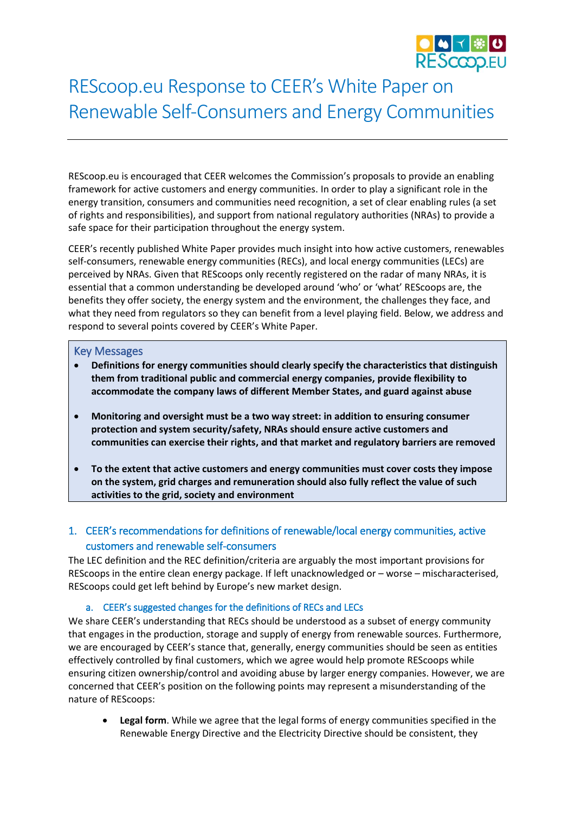

# REScoop.eu Response to CEER's White Paper on Renewable Self-Consumers and Energy Communities

REScoop.eu is encouraged that CEER welcomes the Commission's proposals to provide an enabling framework for active customers and energy communities. In order to play a significant role in the energy transition, consumers and communities need recognition, a set of clear enabling rules (a set of rights and responsibilities), and support from national regulatory authorities (NRAs) to provide a safe space for their participation throughout the energy system.

CEER's recently published White Paper provides much insight into how active customers, renewables self-consumers, renewable energy communities (RECs), and local energy communities (LECs) are perceived by NRAs. Given that REScoops only recently registered on the radar of many NRAs, it is essential that a common understanding be developed around 'who' or 'what' REScoops are, the benefits they offer society, the energy system and the environment, the challenges they face, and what they need from regulators so they can benefit from a level playing field. Below, we address and respond to several points covered by CEER's White Paper.

#### Key Messages

- **Definitions for energy communities should clearly specify the characteristics that distinguish them from traditional public and commercial energy companies, provide flexibility to accommodate the company laws of different Member States, and guard against abuse**
- **Monitoring and oversight must be a two way street: in addition to ensuring consumer protection and system security/safety, NRAs should ensure active customers and communities can exercise their rights, and that market and regulatory barriers are removed**
- **To the extent that active customers and energy communities must cover costs they impose on the system, grid charges and remuneration should also fully reflect the value of such activities to the grid, society and environment**

## 1. CEER's recommendations for definitions of renewable/local energy communities, active customers and renewable self-consumers

The LEC definition and the REC definition/criteria are arguably the most important provisions for REScoops in the entire clean energy package. If left unacknowledged or – worse – mischaracterised, REScoops could get left behind by Europe's new market design.

### a. CEER's suggested changes for the definitions of RECs and LECs

We share CEER's understanding that RECs should be understood as a subset of energy community that engages in the production, storage and supply of energy from renewable sources. Furthermore, we are encouraged by CEER's stance that, generally, energy communities should be seen as entities effectively controlled by final customers, which we agree would help promote REScoops while ensuring citizen ownership/control and avoiding abuse by larger energy companies. However, we are concerned that CEER's position on the following points may represent a misunderstanding of the nature of REScoops:

• **Legal form**. While we agree that the legal forms of energy communities specified in the Renewable Energy Directive and the Electricity Directive should be consistent, they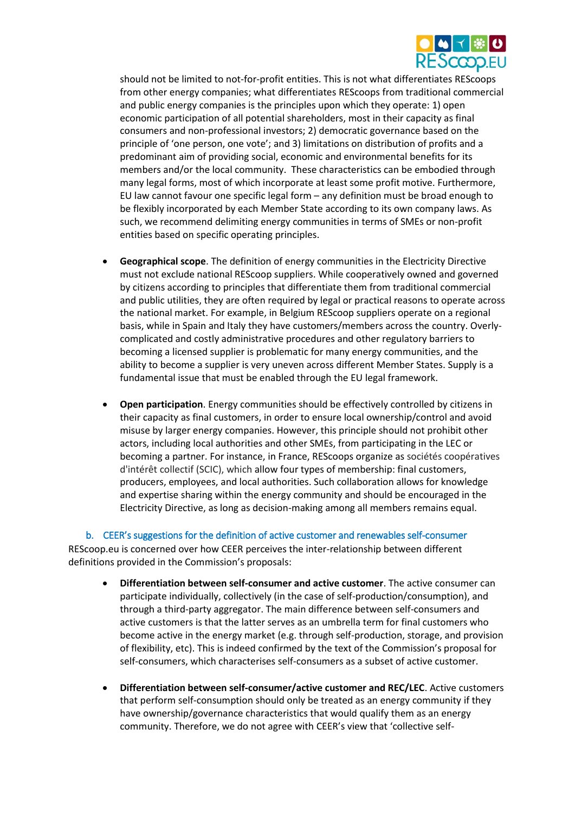

should not be limited to not-for-profit entities. This is not what differentiates REScoops from other energy companies; what differentiates REScoops from traditional commercial and public energy companies is the principles upon which they operate: 1) open economic participation of all potential shareholders, most in their capacity as final consumers and non-professional investors; 2) democratic governance based on the principle of 'one person, one vote'; and 3) limitations on distribution of profits and a predominant aim of providing social, economic and environmental benefits for its members and/or the local community. These characteristics can be embodied through many legal forms, most of which incorporate at least some profit motive. Furthermore, EU law cannot favour one specific legal form – any definition must be broad enough to be flexibly incorporated by each Member State according to its own company laws. As such, we recommend delimiting energy communities in terms of SMEs or non-profit entities based on specific operating principles.

- **Geographical scope**. The definition of energy communities in the Electricity Directive must not exclude national REScoop suppliers. While cooperatively owned and governed by citizens according to principles that differentiate them from traditional commercial and public utilities, they are often required by legal or practical reasons to operate across the national market. For example, in Belgium REScoop suppliers operate on a regional basis, while in Spain and Italy they have customers/members across the country. Overlycomplicated and costly administrative procedures and other regulatory barriers to becoming a licensed supplier is problematic for many energy communities, and the ability to become a supplier is very uneven across different Member States. Supply is a fundamental issue that must be enabled through the EU legal framework.
- **Open participation**. Energy communities should be effectively controlled by citizens in their capacity as final customers, in order to ensure local ownership/control and avoid misuse by larger energy companies. However, this principle should not prohibit other actors, including local authorities and other SMEs, from participating in the LEC or becoming a partner. For instance, in France, REScoops organize as sociétés coopératives d'intérêt collectif (SCIC), which allow four types of membership: final customers, producers, employees, and local authorities. Such collaboration allows for knowledge and expertise sharing within the energy community and should be encouraged in the Electricity Directive, as long as decision-making among all members remains equal.

b. CEER's suggestions for the definition of active customer and renewables self-consumer REScoop.eu is concerned over how CEER perceives the inter-relationship between different definitions provided in the Commission's proposals:

- **Differentiation between self-consumer and active customer**. The active consumer can participate individually, collectively (in the case of self-production/consumption), and through a third-party aggregator. The main difference between self-consumers and active customers is that the latter serves as an umbrella term for final customers who become active in the energy market (e.g. through self-production, storage, and provision of flexibility, etc). This is indeed confirmed by the text of the Commission's proposal for self-consumers, which characterises self-consumers as a subset of active customer.
- **Differentiation between self-consumer/active customer and REC/LEC**. Active customers that perform self-consumption should only be treated as an energy community if they have ownership/governance characteristics that would qualify them as an energy community. Therefore, we do not agree with CEER's view that 'collective self-